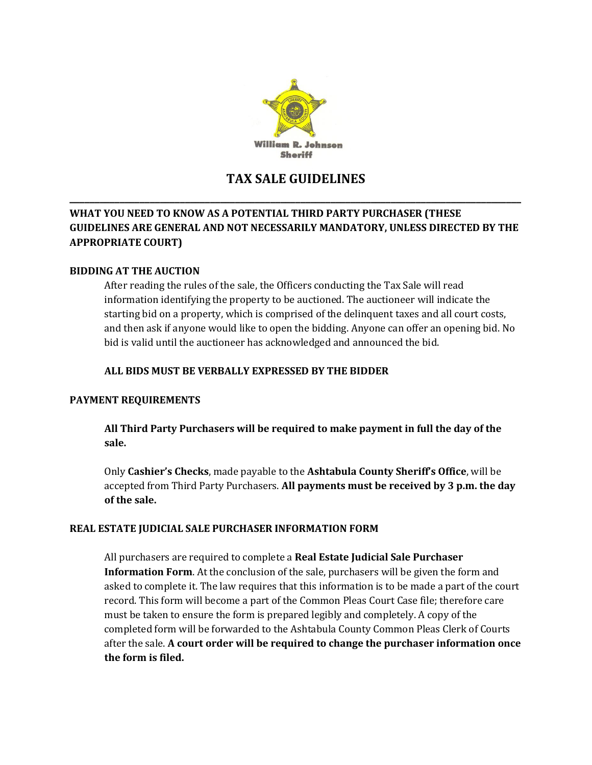

# **TAX SALE GUIDELINES \_\_\_\_\_\_\_\_\_\_\_\_\_\_\_\_\_\_\_\_\_\_\_\_\_\_\_\_\_\_\_\_\_\_\_\_\_\_\_\_\_\_\_\_\_\_\_\_\_\_\_\_\_\_\_\_\_\_\_\_\_\_\_\_\_\_\_\_\_\_\_\_\_\_\_\_\_\_\_\_\_\_\_\_\_\_\_\_\_\_**

# **WHAT YOU NEED TO KNOW AS A POTENTIAL THIRD PARTY PURCHASER (THESE GUIDELINES ARE GENERAL AND NOT NECESSARILY MANDATORY, UNLESS DIRECTED BY THE APPROPRIATE COURT)**

## **BIDDING AT THE AUCTION**

After reading the rules of the sale, the Officers conducting the Tax Sale will read information identifying the property to be auctioned. The auctioneer will indicate the starting bid on a property, which is comprised of the delinquent taxes and all court costs, and then ask if anyone would like to open the bidding. Anyone can offer an opening bid. No bid is valid until the auctioneer has acknowledged and announced the bid.

#### **ALL BIDS MUST BE VERBALLY EXPRESSED BY THE BIDDER**

#### **PAYMENT REQUIREMENTS**

**All Third Party Purchasers will be required to make payment in full the day of the sale.**

Only **Cashier's Checks**, made payable to the **Ashtabula County Sheriff's Office**, will be accepted from Third Party Purchasers. **All payments must be received by 3 p.m. the day of the sale.**

#### **REAL ESTATE JUDICIAL SALE PURCHASER INFORMATION FORM**

All purchasers are required to complete a **Real Estate Judicial Sale Purchaser Information Form**. At the conclusion of the sale, purchasers will be given the form and asked to complete it. The law requires that this information is to be made a part of the court record. This form will become a part of the Common Pleas Court Case file; therefore care must be taken to ensure the form is prepared legibly and completely. A copy of the completed form will be forwarded to the Ashtabula County Common Pleas Clerk of Courts after the sale. **A court order will be required to change the purchaser information once the form is filed.**